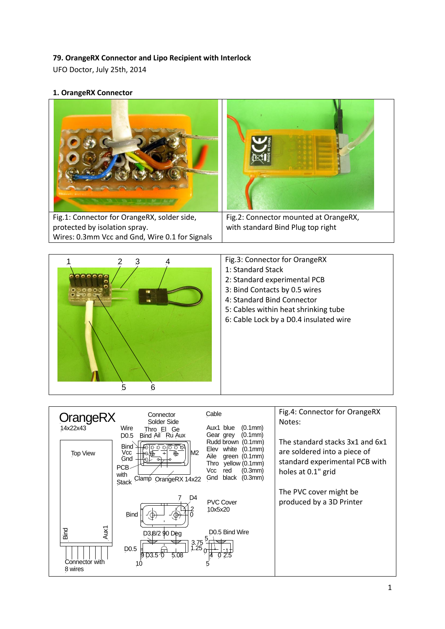## **79. OrangeRX Connector and Lipo Recipient with Interlock**

UFO Doctor, July 25th, 2014

**1. OrangeRX Connector**





- Fig.3: Connector for OrangeRX
- 1: Standard Stack
- 2: Standard experimental PCB
- 3: Bind Contacts by 0.5 wires
- 4: Standard Bind Connector
- 5: Cables within heat shrinking tube
- 6: Cable Lock by a D0.4 insulated wire

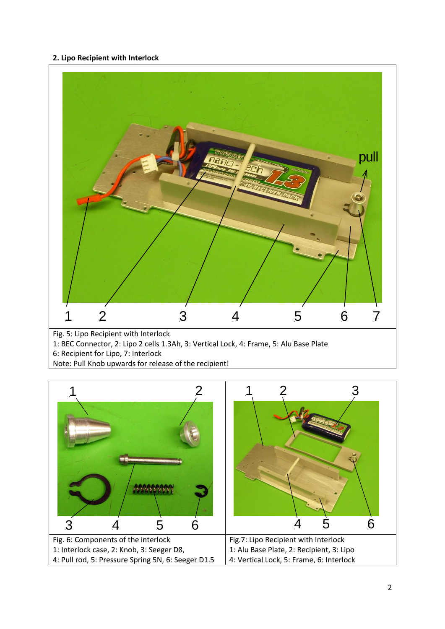## **2. Lipo Recipient with Interlock**